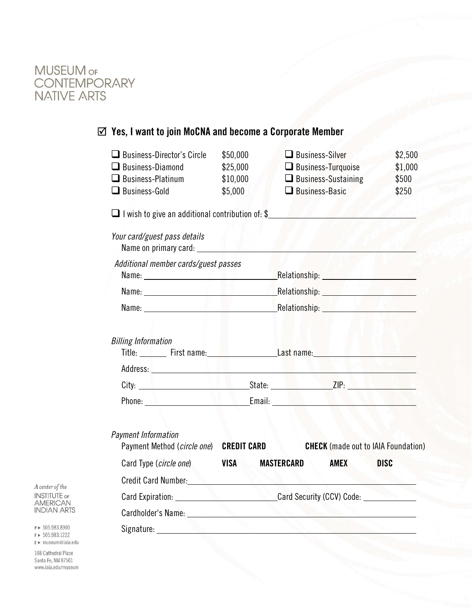

# Yes, I want to join MoCNA and become a Corporate Member

| $\Box$ Business-Director's Circle                                                                                                                                                                                                    | \$50,000                                                                                                                                                                                                                      | $\Box$ Business-Silver                                                                                               | \$2,500     |
|--------------------------------------------------------------------------------------------------------------------------------------------------------------------------------------------------------------------------------------|-------------------------------------------------------------------------------------------------------------------------------------------------------------------------------------------------------------------------------|----------------------------------------------------------------------------------------------------------------------|-------------|
| $\Box$ Business-Diamond                                                                                                                                                                                                              | \$25,000                                                                                                                                                                                                                      | $\Box$ Business-Turquoise                                                                                            | \$1,000     |
| $\Box$ Business-Platinum                                                                                                                                                                                                             | \$10,000                                                                                                                                                                                                                      | $\Box$ Business-Sustaining                                                                                           | \$500       |
| $\Box$ Business-Gold                                                                                                                                                                                                                 | \$5,000                                                                                                                                                                                                                       | $\Box$ Business-Basic                                                                                                | \$250       |
| $\Box$ I wish to give an additional contribution of: \$                                                                                                                                                                              |                                                                                                                                                                                                                               | <u> 1100 - 1100 - 1200 - 1200 - 1200 - 1200 - 1200 - 1200 - 1200 - 1200 - 1200 - 1200 - 1200 - 1200 - 1200 - 120</u> |             |
| Your card/guest pass details<br>Name on primary card:                                                                                                                                                                                |                                                                                                                                                                                                                               |                                                                                                                      |             |
| Additional member cards/guest passes                                                                                                                                                                                                 |                                                                                                                                                                                                                               |                                                                                                                      |             |
|                                                                                                                                                                                                                                      |                                                                                                                                                                                                                               |                                                                                                                      |             |
|                                                                                                                                                                                                                                      |                                                                                                                                                                                                                               |                                                                                                                      |             |
|                                                                                                                                                                                                                                      | Name: Name: Name: Name: Name: Name: Name: Name: Name: Name: Name: Name: Name: Name: Name: Name: Name: Name: Name: Name: Name: Name: Name: Name: Name: Name: Name: Name: Name: Name: Name: Name: Name: Name: Name: Name: Name: |                                                                                                                      |             |
| <b>Billing Information</b><br>Title: First name: Example 2014 Last name: Example 2014 19:30 Last name:                                                                                                                               |                                                                                                                                                                                                                               |                                                                                                                      |             |
| City: <u>City: City: City: City: City: City: City: City: City: City: City: City: City: City: City: City: City: City: City: City: City: City: City: City: City: City: City: City: City: City: City: City: City: City: City: City:</u> |                                                                                                                                                                                                                               |                                                                                                                      |             |
| Phone: <u>Contact Contact Contact Contact Contact Contact Contact Contact Contact Contact Contact Contact Contact Contact Contact Contact Contact Contact Contact Contact Contact Contact Contact Contact Contact Contact Contac</u> |                                                                                                                                                                                                                               |                                                                                                                      |             |
|                                                                                                                                                                                                                                      |                                                                                                                                                                                                                               |                                                                                                                      |             |
| <b>Payment Information</b><br>Payment Method (circle one) CREDIT CARD                                                                                                                                                                |                                                                                                                                                                                                                               | <b>CHECK</b> (made out to IAIA Foundation)                                                                           |             |
| Card Type (circle one)                                                                                                                                                                                                               | <b>VISA</b>                                                                                                                                                                                                                   | MASTERCARD<br><b>AMEX</b>                                                                                            | <b>DISC</b> |
| Credit Card Number: New York Credit Card Number:                                                                                                                                                                                     |                                                                                                                                                                                                                               |                                                                                                                      |             |
|                                                                                                                                                                                                                                      | Card Expiration: Card Security (CCV) Code:                                                                                                                                                                                    |                                                                                                                      |             |
| Cardholder's Name: University of the Cardholder's Name:                                                                                                                                                                              |                                                                                                                                                                                                                               |                                                                                                                      |             |
| Signature: Signature: Signature: Signature: Signature: Signature: Signature: Signature: Signature: Signature: Signature: Signature: Signature: Signature: Signature: Signature: Signature: Signature: Signature: Signature: Si       |                                                                                                                                                                                                                               |                                                                                                                      |             |

A center of the **INSTITUTE OF**<br>AMERICAN **INDIAN ARTS** 

P > 505.983.8900  $F > 505.983.1222$  $E \triangleright$  museum@iaia.edu

108 Cathedral Place Santa Fe, NM 87501 www.iaia.edu/museum